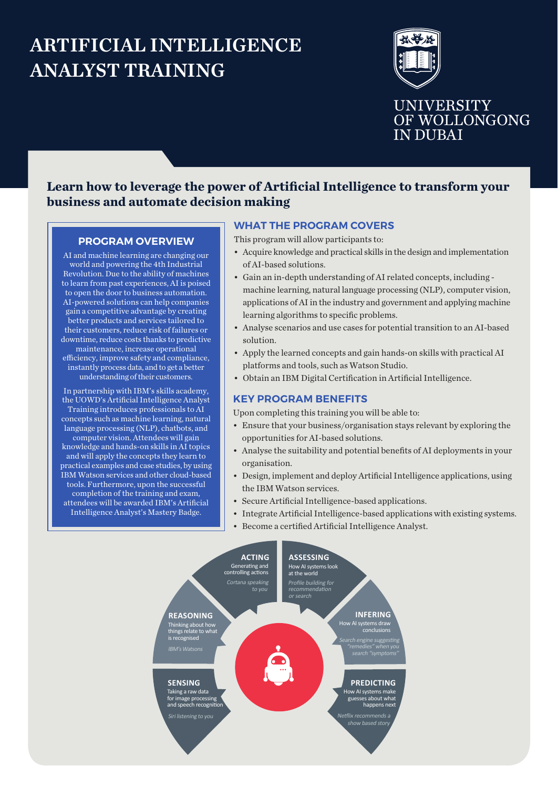# ARTIFICIAL INTELLIGENCE ANALYST TRAINING



# **Learn how to leverage the power of Artificial Intelligence to transform your business and automate decision making**

#### **PROGRAM OVERVIEW**

AI and machine learning are changing our world and powering the 4th Industrial Revolution. Due to the ability of machines to learn from past experiences, AI is poised to open the door to business automation. AI-powered solutions can help companies gain a competitive advantage by creating better products and services tailored to their customers, reduce risk of failures or downtime, reduce costs thanks to predictive maintenance, increase operational efficiency, improve safety and compliance, instantly process data, and to get a better understanding of their customers.

In partnership with IBM's skills academy, the UOWD's Artificial Intelligence Analyst Training introduces professionals to AI concepts such as machine learning, natural language processing (NLP), chatbots, and computer vision. Attendees will gain knowledge and hands-on skills in AI topics and will apply the concepts they learn to practical examples and case studies, by using IBM Watson services and other cloud-based tools. Furthermore, upon the successful completion of the training and exam, attendees will be awarded IBM's Artificial Intelligence Analyst's Mastery Badge.

## **WHAT THE PROGRAM COVERS**

This program will allow participants to:

- Acquire knowledge and practical skills in the design and implementation of AI-based solutions.
- Gain an in-depth understanding of AI related concepts, including machine learning, natural language processing (NLP), computer vision, applications of AI in the industry and government and applying machine learning algorithms to specific problems.
- Analyse scenarios and use cases for potential transition to an AI-based solution.
- Apply the learned concepts and gain hands-on skills with practical AI platforms and tools, such as Watson Studio.
- Obtain an IBM Digital Certification in Artificial Intelligence.

### **KEY PROGRAM BENEFITS**

Upon completing this training you will be able to:

- Ensure that your business/organisation stays relevant by exploring the opportunities for AI-based solutions.
- Analyse the suitability and potential benefits of AI deployments in your organisation.
- Design, implement and deploy Artificial Intelligence applications, using the IBM Watson services.
- Secure Artificial Intelligence-based applications.
- Integrate Artificial Intelligence-based applications with existing systems.
- Become a certified Artificial Intelligence Analyst.